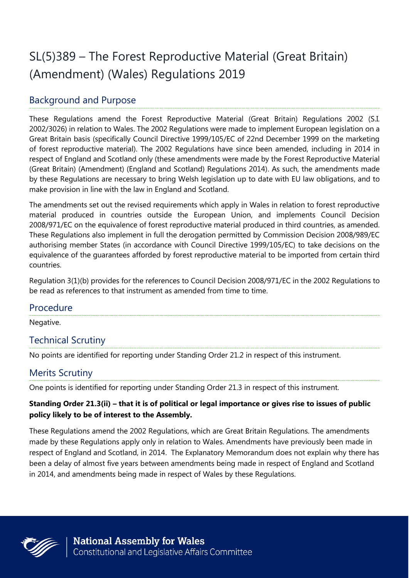# SL(5)389 – The Forest Reproductive Material (Great Britain) (Amendment) (Wales) Regulations 2019

## Background and Purpose

These Regulations amend the Forest Reproductive Material (Great Britain) Regulations 2002 (S.I. 2002/3026) in relation to Wales. The 2002 Regulations were made to implement European legislation on a Great Britain basis (specifically Council Directive 1999/105/EC of 22nd December 1999 on the marketing of forest reproductive material). The 2002 Regulations have since been amended, including in 2014 in respect of England and Scotland only (these amendments were made by the Forest Reproductive Material (Great Britain) (Amendment) (England and Scotland) Regulations 2014). As such, the amendments made by these Regulations are necessary to bring Welsh legislation up to date with EU law obligations, and to make provision in line with the law in England and Scotland.

The amendments set out the revised requirements which apply in Wales in relation to forest reproductive material produced in countries outside the European Union, and implements Council Decision 2008/971/EC on the equivalence of forest reproductive material produced in third countries, as amended. These Regulations also implement in full the derogation permitted by Commission Decision 2008/989/EC authorising member States (in accordance with Council Directive 1999/105/EC) to take decisions on the equivalence of the guarantees afforded by forest reproductive material to be imported from certain third countries.

Regulation 3(1)(b) provides for the references to Council Decision 2008/971/EC in the 2002 Regulations to be read as references to that instrument as amended from time to time.

#### Procedure

Negative.

### Technical Scrutiny

No points are identified for reporting under Standing Order 21.2 in respect of this instrument.

### Merits Scrutiny

One points is identified for reporting under Standing Order 21.3 in respect of this instrument.

#### **Standing Order 21.3(ii) – that it is of political or legal importance or gives rise to issues of public policy likely to be of interest to the Assembly.**

These Regulations amend the 2002 Regulations, which are Great Britain Regulations. The amendments made by these Regulations apply only in relation to Wales. Amendments have previously been made in respect of England and Scotland, in 2014. The Explanatory Memorandum does not explain why there has been a delay of almost five years between amendments being made in respect of England and Scotland in 2014, and amendments being made in respect of Wales by these Regulations.